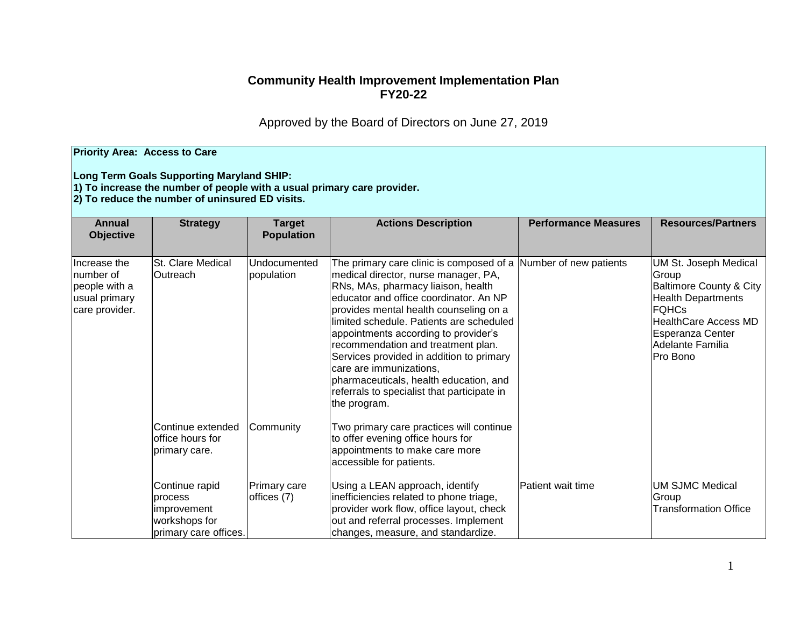## **Community Health Improvement Implementation Plan FY20-22**

Approved by the Board of Directors on June 27, 2019

| <b>Priority Area: Access to Care</b><br>Long Term Goals Supporting Maryland SHIP:<br>$ 1\rangle$ To increase the number of people with a usual primary care provider.<br>2) To reduce the number of uninsured ED visits. |                                                                                           |                                    |                                                                                                                                                                                                                                                                                                                                                                                                                                                                                                                                             |                             |                                                                                                                                                                                                      |  |  |  |
|--------------------------------------------------------------------------------------------------------------------------------------------------------------------------------------------------------------------------|-------------------------------------------------------------------------------------------|------------------------------------|---------------------------------------------------------------------------------------------------------------------------------------------------------------------------------------------------------------------------------------------------------------------------------------------------------------------------------------------------------------------------------------------------------------------------------------------------------------------------------------------------------------------------------------------|-----------------------------|------------------------------------------------------------------------------------------------------------------------------------------------------------------------------------------------------|--|--|--|
| <b>Annual</b><br><b>Objective</b>                                                                                                                                                                                        | <b>Strategy</b>                                                                           | <b>Target</b><br><b>Population</b> | <b>Actions Description</b>                                                                                                                                                                                                                                                                                                                                                                                                                                                                                                                  | <b>Performance Measures</b> | <b>Resources/Partners</b>                                                                                                                                                                            |  |  |  |
| Increase the<br>number of<br>people with a<br>usual primary<br>care provider.                                                                                                                                            | St. Clare Medical<br><b>Outreach</b>                                                      | Undocumented<br>population         | The primary care clinic is composed of a Number of new patients<br>medical director, nurse manager, PA,<br>RNs, MAs, pharmacy liaison, health<br>educator and office coordinator. An NP<br>provides mental health counseling on a<br>limited schedule. Patients are scheduled<br>appointments according to provider's<br>recommendation and treatment plan.<br>Services provided in addition to primary<br>care are immunizations,<br>pharmaceuticals, health education, and<br>referrals to specialist that participate in<br>the program. |                             | UM St. Joseph Medical<br>Group<br><b>Baltimore County &amp; City</b><br><b>Health Departments</b><br><b>FQHCs</b><br><b>HealthCare Access MD</b><br>Esperanza Center<br>Adelante Familia<br>Pro Bono |  |  |  |
|                                                                                                                                                                                                                          | lContinue extended<br>office hours for<br>primary care.                                   | Community                          | Two primary care practices will continue<br>to offer evening office hours for<br>appointments to make care more<br>accessible for patients.                                                                                                                                                                                                                                                                                                                                                                                                 |                             |                                                                                                                                                                                                      |  |  |  |
|                                                                                                                                                                                                                          | Continue rapid<br><b>process</b><br>improvement<br>workshops for<br>primary care offices. | Primary care<br>offices (7)        | Using a LEAN approach, identify<br>inefficiencies related to phone triage,<br>provider work flow, office layout, check<br>out and referral processes. Implement<br>changes, measure, and standardize.                                                                                                                                                                                                                                                                                                                                       | Patient wait time           | <b>UM SJMC Medical</b><br>Group<br><b>Transformation Office</b>                                                                                                                                      |  |  |  |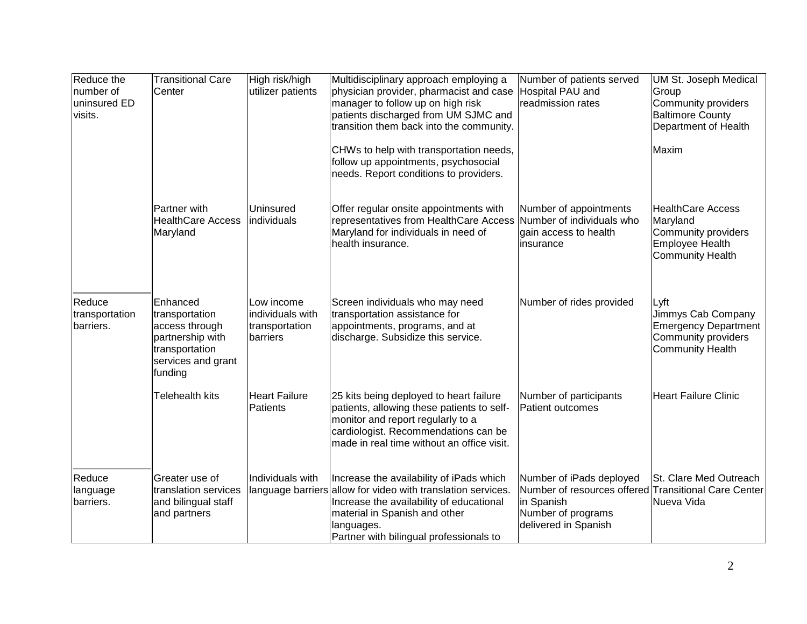| Reduce the<br>number of<br>uninsured ED<br>visits. | <b>Transitional Care</b><br>Center                                                                                  | High risk/high<br>utilizer patients                          | Multidisciplinary approach employing a<br>physician provider, pharmacist and case<br>manager to follow up on high risk<br>patients discharged from UM SJMC and<br>transition them back into the community.                                     | Number of patients served<br>Hospital PAU and<br>readmission rates                                                                           | <b>UM St. Joseph Medical</b><br>Group<br>Community providers<br><b>Baltimore County</b><br>Department of Health |
|----------------------------------------------------|---------------------------------------------------------------------------------------------------------------------|--------------------------------------------------------------|------------------------------------------------------------------------------------------------------------------------------------------------------------------------------------------------------------------------------------------------|----------------------------------------------------------------------------------------------------------------------------------------------|-----------------------------------------------------------------------------------------------------------------|
|                                                    |                                                                                                                     |                                                              | CHWs to help with transportation needs,<br>follow up appointments, psychosocial<br>needs. Report conditions to providers.                                                                                                                      |                                                                                                                                              | Maxim                                                                                                           |
|                                                    | Partner with<br><b>HealthCare Access</b><br>Maryland                                                                | Uninsured<br>individuals                                     | Offer regular onsite appointments with<br>representatives from HealthCare Access Number of individuals who<br>Maryland for individuals in need of<br>health insurance.                                                                         | Number of appointments<br>gain access to health<br>linsurance                                                                                | <b>HealthCare Access</b><br>Maryland<br>Community providers<br>Employee Health<br><b>Community Health</b>       |
| Reduce<br>transportation<br>barriers.              | Enhanced<br>transportation<br>access through<br>partnership with<br>transportation<br>services and grant<br>funding | Low income<br>individuals with<br>transportation<br>barriers | Screen individuals who may need<br>transportation assistance for<br>appointments, programs, and at<br>discharge. Subsidize this service.                                                                                                       | Number of rides provided                                                                                                                     | Lyft<br>Jimmys Cab Company<br><b>Emergency Department</b><br>Community providers<br><b>Community Health</b>     |
|                                                    | <b>Telehealth kits</b>                                                                                              | <b>Heart Failure</b><br>Patients                             | 25 kits being deployed to heart failure<br>patients, allowing these patients to self-<br>monitor and report regularly to a<br>cardiologist. Recommendations can be<br>made in real time without an office visit.                               | Number of participants<br><b>Patient outcomes</b>                                                                                            | <b>Heart Failure Clinic</b>                                                                                     |
| Reduce<br>language<br>barriers.                    | Greater use of<br>translation services<br>and bilingual staff<br>and partners                                       | Individuals with                                             | Increase the availability of iPads which<br>language barriers allow for video with translation services.<br>Increase the availability of educational<br>material in Spanish and other<br>languages.<br>Partner with bilingual professionals to | Number of iPads deployed<br>Number of resources offered Transitional Care Center<br>in Spanish<br>Number of programs<br>delivered in Spanish | St. Clare Med Outreach<br>Nueva Vida                                                                            |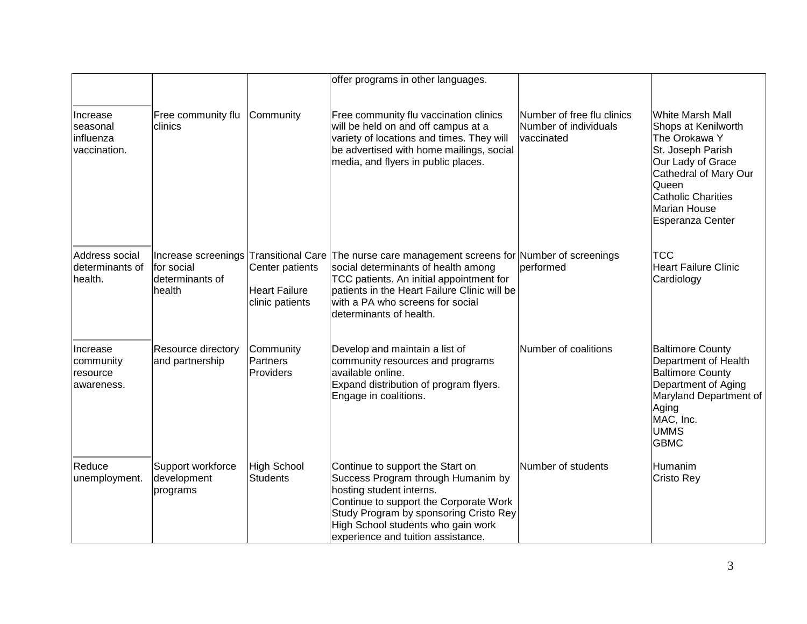|                                                   |                                                                |                                                            | offer programs in other languages.                                                                                                                                                                                                                                             |                                                                   |                                                                                                                                                                                                                     |
|---------------------------------------------------|----------------------------------------------------------------|------------------------------------------------------------|--------------------------------------------------------------------------------------------------------------------------------------------------------------------------------------------------------------------------------------------------------------------------------|-------------------------------------------------------------------|---------------------------------------------------------------------------------------------------------------------------------------------------------------------------------------------------------------------|
| Increase<br>seasonal<br>influenza<br>vaccination. | Free community flu<br>clinics                                  | Community                                                  | Free community flu vaccination clinics<br>will be held on and off campus at a<br>variety of locations and times. They will<br>be advertised with home mailings, social<br>media, and flyers in public places.                                                                  | Number of free flu clinics<br>Number of individuals<br>vaccinated | <b>White Marsh Mall</b><br>Shops at Kenilworth<br>The Orokawa Y<br>St. Joseph Parish<br>Our Lady of Grace<br>Cathedral of Mary Our<br>Queen<br><b>Catholic Charities</b><br><b>Marian House</b><br>Esperanza Center |
| Address social<br>determinants of<br>health.      | Increase screenings<br>for social<br>determinants of<br>health | Center patients<br><b>Heart Failure</b><br>clinic patients | Transitional Care The nurse care management screens for Number of screenings<br>social determinants of health among<br>TCC patients. An initial appointment for<br>patients in the Heart Failure Clinic will be<br>with a PA who screens for social<br>determinants of health. | performed                                                         | тсс<br><b>Heart Failure Clinic</b><br>Cardiology                                                                                                                                                                    |
| Increase<br>community<br>resource<br>awareness.   | Resource directory<br>and partnership                          | Community<br>Partners<br>Providers                         | Develop and maintain a list of<br>community resources and programs<br>available online.<br>Expand distribution of program flyers.<br>Engage in coalitions.                                                                                                                     | Number of coalitions                                              | <b>Baltimore County</b><br>Department of Health<br><b>Baltimore County</b><br>Department of Aging<br>Maryland Department of<br>Aging<br>MAC, Inc.<br><b>UMMS</b><br><b>GBMC</b>                                     |
| Reduce<br>unemployment.                           | Support workforce<br>development<br>programs                   | <b>High School</b><br><b>Students</b>                      | Continue to support the Start on<br>Success Program through Humanim by<br>hosting student interns.<br>Continue to support the Corporate Work<br>Study Program by sponsoring Cristo Rey<br>High School students who gain work<br>experience and tuition assistance.             | Number of students                                                | Humanim<br>Cristo Rey                                                                                                                                                                                               |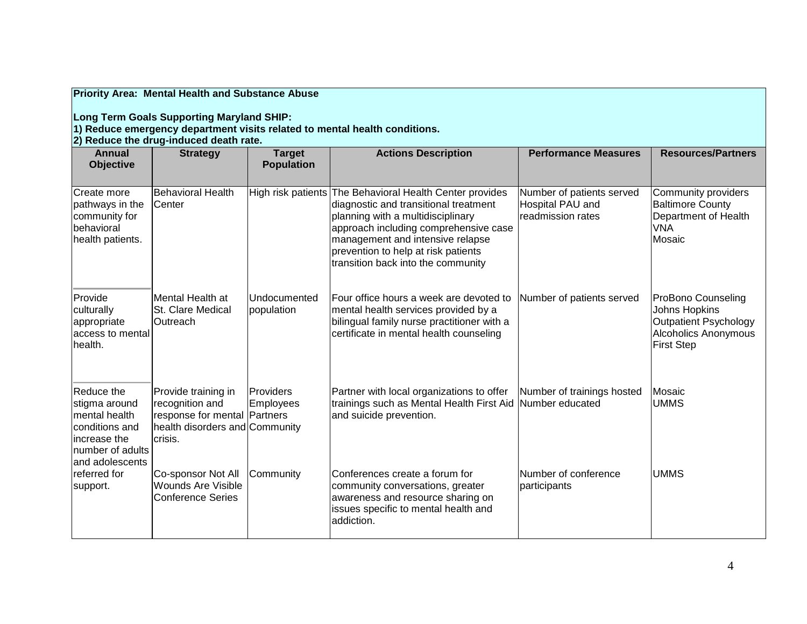# **Priority Area: Mental Health and Substance Abuse**

**Long Term Goals Supporting Maryland SHIP:**

**1) Reduce emergency department visits related to mental health conditions.** 

**2) Reduce the drug-induced death rate.** 

| <b>Annual</b><br><b>Objective</b>                                                                                     | <b>Strategy</b>                                                                                                     | <b>Target</b><br><b>Population</b> | <b>Actions Description</b>                                                                                                                                                                                                                                                                       | <b>Performance Measures</b>                                        | <b>Resources/Partners</b>                                                                                               |
|-----------------------------------------------------------------------------------------------------------------------|---------------------------------------------------------------------------------------------------------------------|------------------------------------|--------------------------------------------------------------------------------------------------------------------------------------------------------------------------------------------------------------------------------------------------------------------------------------------------|--------------------------------------------------------------------|-------------------------------------------------------------------------------------------------------------------------|
| Create more<br>pathways in the<br>community for<br>behavioral<br>health patients.                                     | <b>Behavioral Health</b><br>Center                                                                                  |                                    | High risk patients The Behavioral Health Center provides<br>diagnostic and transitional treatment<br>planning with a multidisciplinary<br>approach including comprehensive case<br>management and intensive relapse<br>prevention to help at risk patients<br>transition back into the community | Number of patients served<br>Hospital PAU and<br>readmission rates | Community providers<br><b>Baltimore County</b><br>Department of Health<br><b>VNA</b><br>Mosaic                          |
| Provide<br>culturally<br>appropriate<br>access to mental<br>health.                                                   | Mental Health at<br>St. Clare Medical<br>Outreach                                                                   | Undocumented<br>population         | Four office hours a week are devoted to<br>mental health services provided by a<br>bilingual family nurse practitioner with a<br>certificate in mental health counseling                                                                                                                         | Number of patients served                                          | ProBono Counseling<br>Johns Hopkins<br><b>Outpatient Psychology</b><br><b>Alcoholics Anonymous</b><br><b>First Step</b> |
| Reduce the<br>stigma around<br>mental health<br>conditions and<br>increase the<br>number of adults<br>and adolescents | Provide training in<br>recognition and<br>response for mental Partners<br>health disorders and Community<br>crisis. | Providers<br><b>Employees</b>      | Partner with local organizations to offer<br>trainings such as Mental Health First Aid Number educated<br>and suicide prevention.                                                                                                                                                                | Number of trainings hosted                                         | Mosaic<br><b>UMMS</b>                                                                                                   |
| referred for<br>support.                                                                                              | Co-sponsor Not All<br><b>Wounds Are Visible</b><br><b>Conference Series</b>                                         | Community                          | Conferences create a forum for<br>community conversations, greater<br>awareness and resource sharing on<br>issues specific to mental health and<br>addiction.                                                                                                                                    | Number of conference<br>participants                               | <b>UMMS</b>                                                                                                             |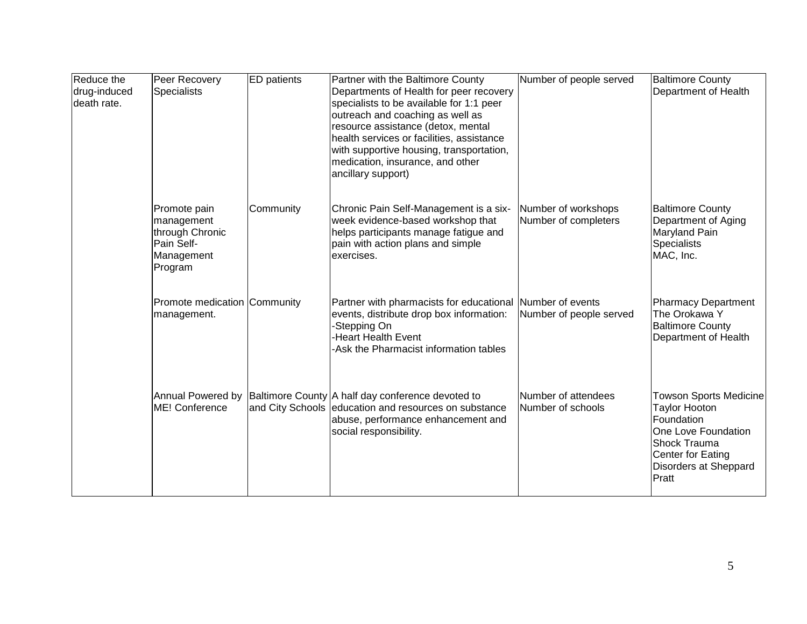| Reduce the<br>drug-induced<br>death rate. | Peer Recovery<br><b>Specialists</b>                                                  | <b>ED</b> patients | Partner with the Baltimore County<br>Departments of Health for peer recovery<br>specialists to be available for 1:1 peer<br>outreach and coaching as well as<br>resource assistance (detox, mental<br>health services or facilities, assistance<br>with supportive housing, transportation,<br>medication, insurance, and other<br>ancillary support) | Number of people served                     | <b>Baltimore County</b><br>Department of Health                                                                                                                   |
|-------------------------------------------|--------------------------------------------------------------------------------------|--------------------|-------------------------------------------------------------------------------------------------------------------------------------------------------------------------------------------------------------------------------------------------------------------------------------------------------------------------------------------------------|---------------------------------------------|-------------------------------------------------------------------------------------------------------------------------------------------------------------------|
|                                           | Promote pain<br>management<br>through Chronic<br>Pain Self-<br>Management<br>Program | Community          | Chronic Pain Self-Management is a six-<br>week evidence-based workshop that<br>helps participants manage fatigue and<br>pain with action plans and simple<br>exercises.                                                                                                                                                                               | Number of workshops<br>Number of completers | <b>Baltimore County</b><br>Department of Aging<br>Maryland Pain<br>Specialists<br>MAC, Inc.                                                                       |
|                                           | Promote medication Community<br>management.                                          |                    | Partner with pharmacists for educational Number of events<br>events, distribute drop box information:<br>-Stepping On<br><b>Heart Health Event</b><br>Ask the Pharmacist information tables                                                                                                                                                           | Number of people served                     | Pharmacy Department<br>The Orokawa Y<br><b>Baltimore County</b><br>Department of Health                                                                           |
|                                           | Annual Powered by<br>ME! Conference                                                  |                    | Baltimore County A half day conference devoted to<br>and City Schools education and resources on substance<br>abuse, performance enhancement and<br>social responsibility.                                                                                                                                                                            | Number of attendees<br>Number of schools    | <b>Towson Sports Medicine</b><br><b>Taylor Hooton</b><br>Foundation<br>One Love Foundation<br>Shock Trauma<br>Center for Eating<br>Disorders at Sheppard<br>Pratt |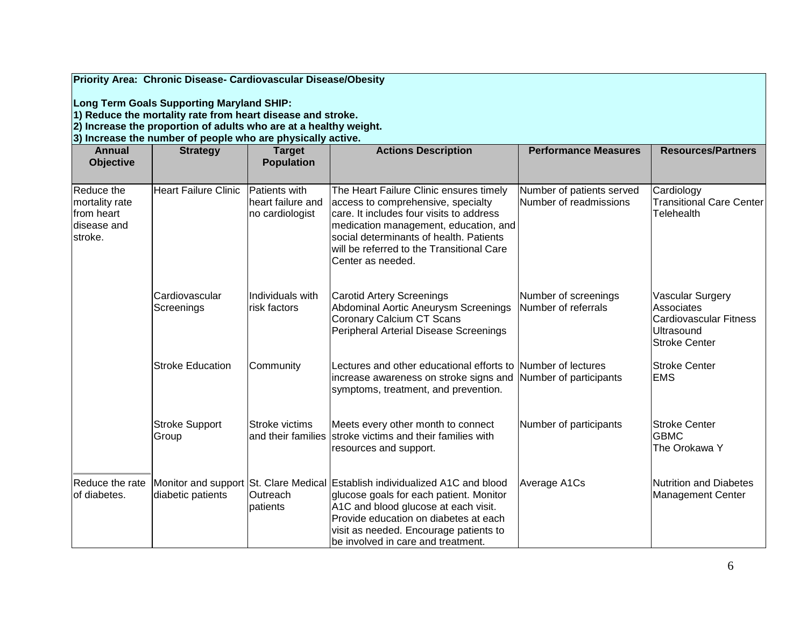|  |  |  |  | Priority Area: Chronic Disease- Cardiovascular Disease/Obesity |
|--|--|--|--|----------------------------------------------------------------|
|--|--|--|--|----------------------------------------------------------------|

**Long Term Goals Supporting Maryland SHIP:**

**1) Reduce the mortality rate from heart disease and stroke.** 

**2) Increase the proportion of adults who are at a healthy weight.**

**3) Increase the number of people who are physically active.**

| <b>Annual</b><br><b>Objective</b>                                     | <b>Strategy</b>               | <b>Target</b><br><b>Population</b>                    | <b>Actions Description</b>                                                                                                                                                                                                                                                               | <b>Performance Measures</b>                         | <b>Resources/Partners</b>                                                                                    |
|-----------------------------------------------------------------------|-------------------------------|-------------------------------------------------------|------------------------------------------------------------------------------------------------------------------------------------------------------------------------------------------------------------------------------------------------------------------------------------------|-----------------------------------------------------|--------------------------------------------------------------------------------------------------------------|
| Reduce the<br>mortality rate<br>from heart<br>ldisease and<br>stroke. | <b>Heart Failure Clinic</b>   | Patients with<br>heart failure and<br>no cardiologist | The Heart Failure Clinic ensures timely<br>access to comprehensive, specialty<br>care. It includes four visits to address<br>medication management, education, and<br>social determinants of health. Patients<br>will be referred to the Transitional Care<br>Center as needed.          | Number of patients served<br>Number of readmissions | Cardiology<br><b>Transitional Care Center</b><br>Telehealth                                                  |
|                                                                       | lCardiovascular<br>Screenings | Individuals with<br>risk factors                      | Carotid Artery Screenings<br>Abdominal Aortic Aneurysm Screenings<br>Coronary Calcium CT Scans<br>Peripheral Arterial Disease Screenings                                                                                                                                                 | Number of screenings<br>Number of referrals         | <b>Vascular Surgery</b><br>Associates<br><b>Cardiovascular Fitness</b><br>Ultrasound<br><b>Stroke Center</b> |
|                                                                       | <b>Stroke Education</b>       | Community                                             | Lectures and other educational efforts to Number of lectures<br>increase awareness on stroke signs and<br>symptoms, treatment, and prevention.                                                                                                                                           | Number of participants                              | <b>Stroke Center</b><br><b>EMS</b>                                                                           |
|                                                                       | Stroke Support<br>Group       | lStroke victims                                       | Meets every other month to connect<br>and their families stroke victims and their families with<br>resources and support.                                                                                                                                                                | Number of participants                              | <b>Stroke Center</b><br><b>GBMC</b><br>The Orokawa Y                                                         |
| Reduce the rate<br>of diabetes.                                       | diabetic patients             | Outreach<br>patients                                  | Monitor and support St. Clare Medical Establish individualized A1C and blood<br>glucose goals for each patient. Monitor<br>A1C and blood glucose at each visit.<br>Provide education on diabetes at each<br>visit as needed. Encourage patients to<br>be involved in care and treatment. | Average A1Cs                                        | Nutrition and Diabetes<br><b>Management Center</b>                                                           |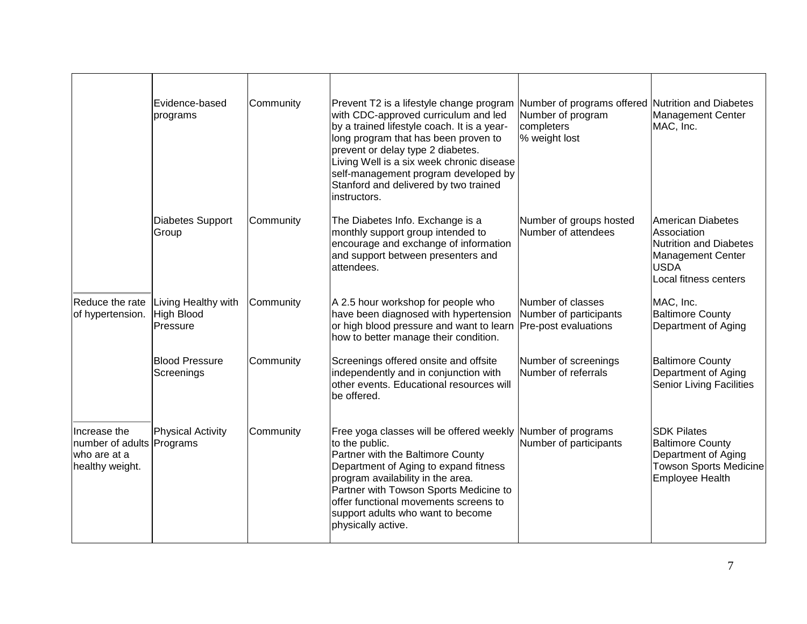|                                                                              | Evidence-based<br>programs                           | Community | Prevent T2 is a lifestyle change program Number of programs offered Nutrition and Diabetes<br>with CDC-approved curriculum and led<br>by a trained lifestyle coach. It is a year-<br>long program that has been proven to<br>prevent or delay type 2 diabetes.<br>Living Well is a six week chronic disease<br>self-management program developed by<br>Stanford and delivered by two trained<br>instructors. | Number of program<br>completers<br>% weight lost | Management Center<br>MAC, Inc.                                                                                                  |
|------------------------------------------------------------------------------|------------------------------------------------------|-----------|--------------------------------------------------------------------------------------------------------------------------------------------------------------------------------------------------------------------------------------------------------------------------------------------------------------------------------------------------------------------------------------------------------------|--------------------------------------------------|---------------------------------------------------------------------------------------------------------------------------------|
|                                                                              | Diabetes Support<br>Group                            | Community | The Diabetes Info. Exchange is a<br>monthly support group intended to<br>encourage and exchange of information<br>and support between presenters and<br>attendees.                                                                                                                                                                                                                                           | Number of groups hosted<br>Number of attendees   | American Diabetes<br>Association<br>Nutrition and Diabetes<br>Management Center<br><b>USDA</b><br>Local fitness centers         |
| Reduce the rate<br>of hypertension.                                          | Living Healthy with<br><b>High Blood</b><br>Pressure | Community | A 2.5 hour workshop for people who<br>have been diagnosed with hypertension<br>or high blood pressure and want to learn Pre-post evaluations<br>how to better manage their condition.                                                                                                                                                                                                                        | Number of classes<br>Number of participants      | MAC, Inc.<br><b>Baltimore County</b><br>Department of Aging                                                                     |
|                                                                              | <b>Blood Pressure</b><br>Screenings                  | Community | Screenings offered onsite and offsite<br>independently and in conjunction with<br>other events. Educational resources will<br>be offered.                                                                                                                                                                                                                                                                    | Number of screenings<br>Number of referrals      | <b>Baltimore County</b><br>Department of Aging<br><b>Senior Living Facilities</b>                                               |
| Increase the<br>number of adults Programs<br>who are at a<br>healthy weight. | Physical Activity                                    | Community | Free yoga classes will be offered weekly Number of programs<br>to the public.<br>Partner with the Baltimore County<br>Department of Aging to expand fitness<br>program availability in the area.<br>Partner with Towson Sports Medicine to<br>offer functional movements screens to<br>support adults who want to become<br>physically active.                                                               | Number of participants                           | <b>SDK Pilates</b><br><b>Baltimore County</b><br>Department of Aging<br><b>Towson Sports Medicine</b><br><b>Employee Health</b> |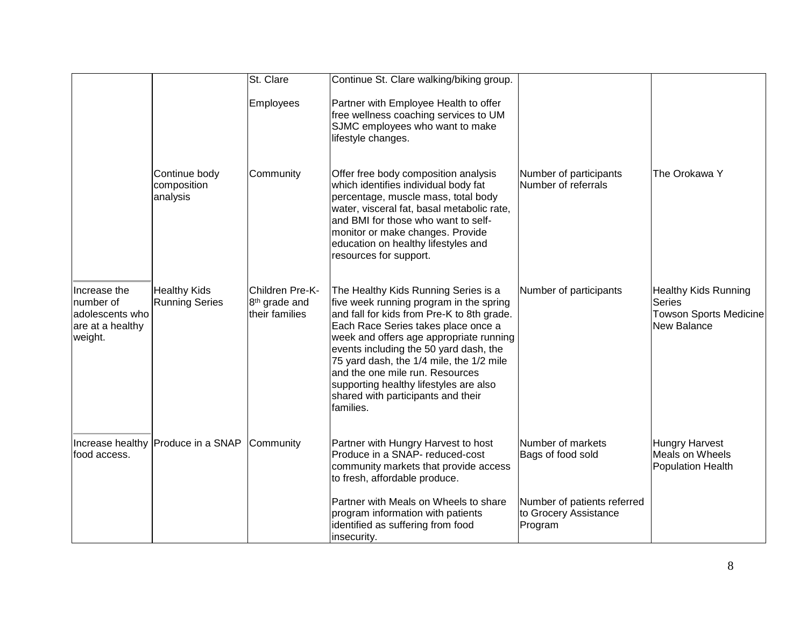|                                                                             |                                              | St. Clare                                                      | Continue St. Clare walking/biking group.                                                                                                                                                                                                                                                                                                                                                                                              |                                                                 |                                                                                              |
|-----------------------------------------------------------------------------|----------------------------------------------|----------------------------------------------------------------|---------------------------------------------------------------------------------------------------------------------------------------------------------------------------------------------------------------------------------------------------------------------------------------------------------------------------------------------------------------------------------------------------------------------------------------|-----------------------------------------------------------------|----------------------------------------------------------------------------------------------|
|                                                                             |                                              | Employees                                                      | Partner with Employee Health to offer<br>free wellness coaching services to UM<br>SJMC employees who want to make<br>lifestyle changes.                                                                                                                                                                                                                                                                                               |                                                                 |                                                                                              |
|                                                                             | Continue body<br>composition<br>analysis     | Community                                                      | Offer free body composition analysis<br>which identifies individual body fat<br>percentage, muscle mass, total body<br>water, visceral fat, basal metabolic rate,<br>and BMI for those who want to self-<br>monitor or make changes. Provide<br>education on healthy lifestyles and<br>resources for support.                                                                                                                         | Number of participants<br>Number of referrals                   | The Orokawa Y                                                                                |
| Increase the<br>number of<br>adolescents who<br>are at a healthy<br>weight. | <b>Healthy Kids</b><br><b>Running Series</b> | Children Pre-K-<br>8 <sup>th</sup> grade and<br>their families | The Healthy Kids Running Series is a<br>five week running program in the spring<br>and fall for kids from Pre-K to 8th grade.<br>Each Race Series takes place once a<br>week and offers age appropriate running<br>events including the 50 yard dash, the<br>75 yard dash, the 1/4 mile, the 1/2 mile<br>and the one mile run. Resources<br>supporting healthy lifestyles are also<br>shared with participants and their<br>families. | Number of participants                                          | <b>Healthy Kids Running</b><br><b>Series</b><br><b>Towson Sports Medicine</b><br>New Balance |
| food access.                                                                | Increase healthy Produce in a SNAP           | Community                                                      | Partner with Hungry Harvest to host<br>Produce in a SNAP- reduced-cost<br>community markets that provide access<br>to fresh, affordable produce.                                                                                                                                                                                                                                                                                      | Number of markets<br>Bags of food sold                          | <b>Hungry Harvest</b><br>Meals on Wheels<br><b>Population Health</b>                         |
|                                                                             |                                              |                                                                | Partner with Meals on Wheels to share<br>program information with patients<br>identified as suffering from food<br>insecurity.                                                                                                                                                                                                                                                                                                        | Number of patients referred<br>to Grocery Assistance<br>Program |                                                                                              |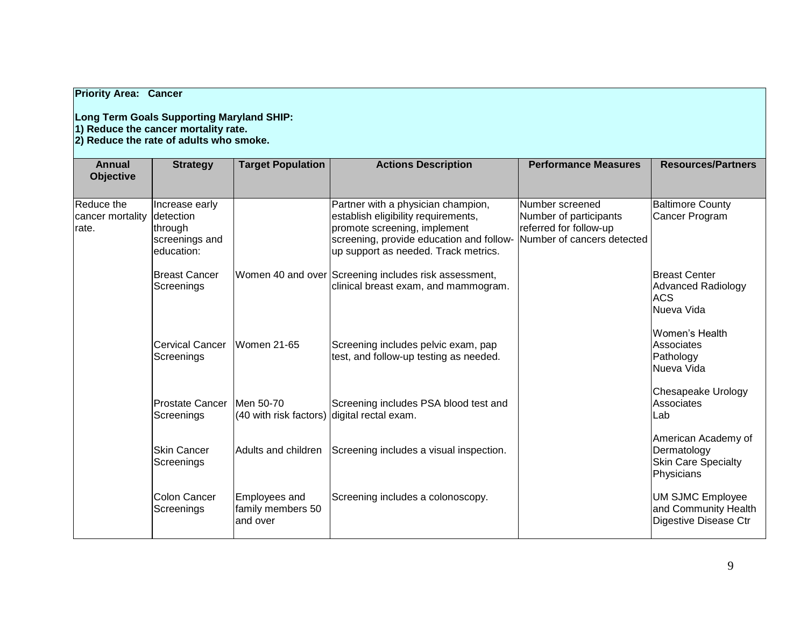## **Priority Area: Cancer**

## **Long Term Goals Supporting Maryland SHIP: 1) Reduce the cancer mortality rate.**

**2) Reduce the rate of adults who smoke.** 

| Annual<br><b>Objective</b>              | <b>Strategy</b>                                                        | <b>Target Population</b>                                 | <b>Actions Description</b>                                                                                                                                                                                               | <b>Performance Measures</b>                                         | <b>Resources/Partners</b>                                                      |
|-----------------------------------------|------------------------------------------------------------------------|----------------------------------------------------------|--------------------------------------------------------------------------------------------------------------------------------------------------------------------------------------------------------------------------|---------------------------------------------------------------------|--------------------------------------------------------------------------------|
| Reduce the<br>cancer mortality<br>rate. | Increase early<br>detection<br>through<br>screenings and<br>education: |                                                          | Partner with a physician champion,<br>establish eligibility requirements,<br>promote screening, implement<br>screening, provide education and follow- Number of cancers detected<br>up support as needed. Track metrics. | Number screened<br>Number of participants<br>referred for follow-up | <b>Baltimore County</b><br>Cancer Program                                      |
|                                         | <b>Breast Cancer</b><br>Screenings                                     |                                                          | Women 40 and over Screening includes risk assessment,<br>clinical breast exam, and mammogram.                                                                                                                            |                                                                     | Breast Center<br><b>Advanced Radiology</b><br><b>ACS</b><br><b>Nueva Vida</b>  |
|                                         | <b>Cervical Cancer</b><br>Screenings                                   | Women 21-65                                              | Screening includes pelvic exam, pap<br>test, and follow-up testing as needed.                                                                                                                                            |                                                                     | lWomen's Health<br>Associates<br>Pathology<br>lNueva Vida                      |
|                                         | <b>Prostate Cancer</b><br>Screenings                                   | Men 50-70<br>(40 with risk factors) digital rectal exam. | Screening includes PSA blood test and                                                                                                                                                                                    |                                                                     | Chesapeake Urology<br>Associates<br>Lab                                        |
|                                         | <b>Skin Cancer</b><br>Screenings                                       | Adults and children                                      | Screening includes a visual inspection.                                                                                                                                                                                  |                                                                     | American Academy of<br>Dermatology<br><b>Skin Care Specialty</b><br>Physicians |
|                                         | Colon Cancer<br>Screenings                                             | <b>Employees and</b><br>family members 50<br>land over   | Screening includes a colonoscopy.                                                                                                                                                                                        |                                                                     | UM SJMC Employee<br>and Community Health<br>Digestive Disease Ctr              |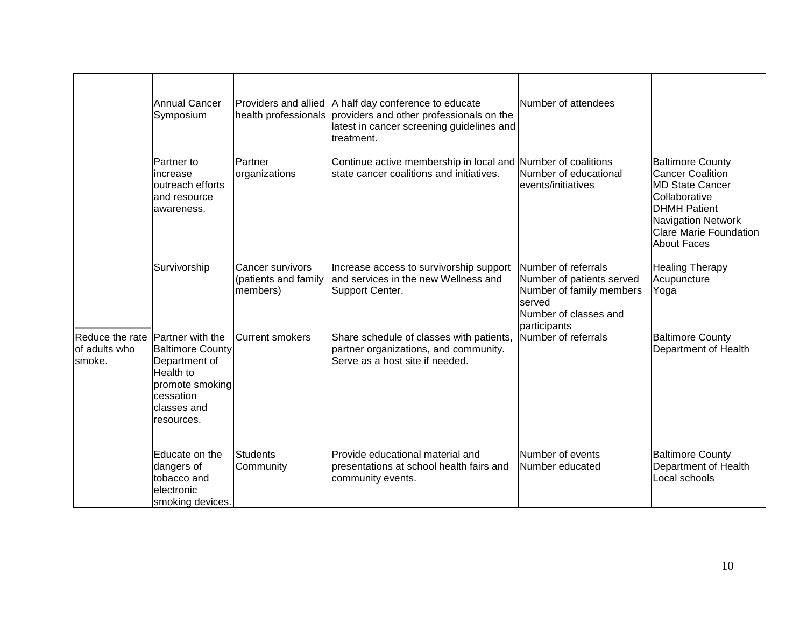|                                            | <b>Annual Cancer</b><br>Symposium                                                                                                             |                                                      | Providers and allied   A half day conference to educate<br>health professionals providers and other professionals on the<br>latest in cancer screening guidelines and<br>treatment. | Number of attendees                                                                                                             |                                                                                                                                                                                                   |
|--------------------------------------------|-----------------------------------------------------------------------------------------------------------------------------------------------|------------------------------------------------------|-------------------------------------------------------------------------------------------------------------------------------------------------------------------------------------|---------------------------------------------------------------------------------------------------------------------------------|---------------------------------------------------------------------------------------------------------------------------------------------------------------------------------------------------|
|                                            | Partner to<br>increase<br>outreach efforts<br>and resource<br>awareness.                                                                      | Partner<br>organizations                             | Continue active membership in local and Number of coalitions<br>state cancer coalitions and initiatives.                                                                            | Number of educational<br>events/initiatives                                                                                     | <b>Baltimore County</b><br><b>Cancer Coalition</b><br><b>MD State Cancer</b><br>Collaborative<br><b>DHMH Patient</b><br>Navigation Network<br><b>Clare Marie Foundation</b><br><b>About Faces</b> |
|                                            | Survivorship                                                                                                                                  | Cancer survivors<br>(patients and family<br>members) | Increase access to survivorship support<br>and services in the new Wellness and<br>Support Center.                                                                                  | Number of referrals<br>Number of patients served<br>Number of family members<br>served<br>Number of classes and<br>participants | <b>Healing Therapy</b><br>Acupuncture<br>Yoga                                                                                                                                                     |
| Reduce the rate<br>of adults who<br>smoke. | <b>Partner</b> with the<br><b>Baltimore County</b><br>Department of<br>Health to<br>promote smoking<br>cessation<br>classes and<br>resources. | <b>Current smokers</b>                               | Share schedule of classes with patients,<br>partner organizations, and community.<br>Serve as a host site if needed.                                                                | Number of referrals                                                                                                             | <b>Baltimore County</b><br>Department of Health                                                                                                                                                   |
|                                            | Educate on the<br>dangers of<br>tobacco and<br>electronic<br>smoking devices.                                                                 | Students<br>Community                                | Provide educational material and<br>presentations at school health fairs and<br>community events.                                                                                   | Number of events<br>Number educated                                                                                             | <b>Baltimore County</b><br>Department of Health<br>Local schools                                                                                                                                  |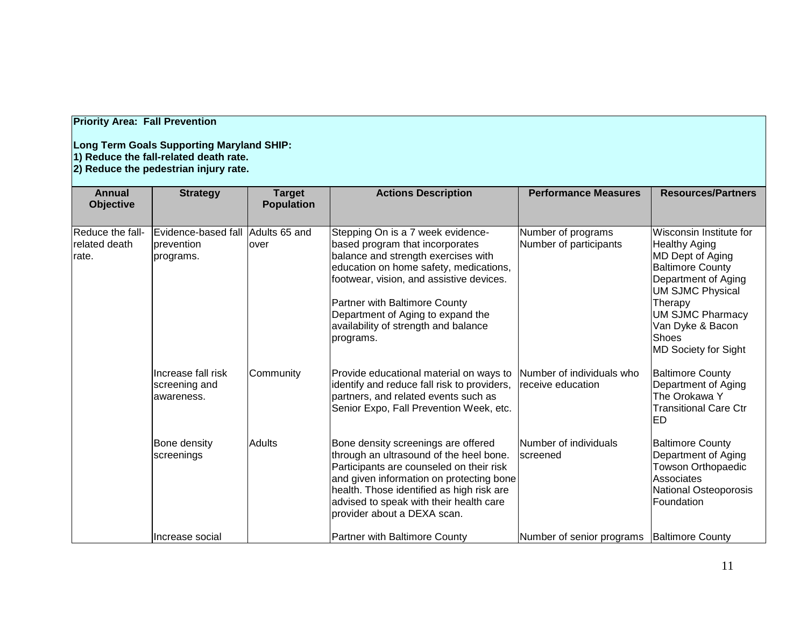## **Priority Area: Fall Prevention**

#### **Long Term Goals Supporting Maryland SHIP: 1) Reduce the fall-related death rate. 2) Reduce the pedestrian injury rate.**

| <b>Annual</b><br><b>Objective</b>          | <b>Strategy</b>                                              | <b>Target</b><br><b>Population</b> | <b>Actions Description</b>                                                                                                                                                                                                                                                                                                   | <b>Performance Measures</b>                    | <b>Resources/Partners</b>                                                                                                                                                                                                                          |
|--------------------------------------------|--------------------------------------------------------------|------------------------------------|------------------------------------------------------------------------------------------------------------------------------------------------------------------------------------------------------------------------------------------------------------------------------------------------------------------------------|------------------------------------------------|----------------------------------------------------------------------------------------------------------------------------------------------------------------------------------------------------------------------------------------------------|
| Reduce the fall-<br>related death<br>rate. | Evidence-based fall Adults 65 and<br>prevention<br>programs. | over                               | Stepping On is a 7 week evidence-<br>based program that incorporates<br>balance and strength exercises with<br>education on home safety, medications,<br>footwear, vision, and assistive devices.<br>Partner with Baltimore County<br>Department of Aging to expand the<br>availability of strength and balance<br>programs. | Number of programs<br>Number of participants   | Wisconsin Institute for<br><b>Healthy Aging</b><br>MD Dept of Aging<br><b>Baltimore County</b><br>Department of Aging<br><b>UM SJMC Physical</b><br>Therapy<br><b>UM SJMC Pharmacy</b><br>Van Dyke & Bacon<br><b>Shoes</b><br>MD Society for Sight |
|                                            | IIncrease fall risk<br>screening and<br>lawareness.          | Community                          | Provide educational material on ways to<br>identify and reduce fall risk to providers,<br>partners, and related events such as<br>Senior Expo, Fall Prevention Week, etc.                                                                                                                                                    | Number of individuals who<br>receive education | <b>Baltimore County</b><br>Department of Aging<br>The Orokawa Y<br><b>Transitional Care Ctr</b><br><b>ED</b>                                                                                                                                       |
|                                            | Bone density<br>screenings                                   | <b>Adults</b>                      | Bone density screenings are offered<br>through an ultrasound of the heel bone.<br>Participants are counseled on their risk<br>and given information on protecting bone<br>health. Those identified as high risk are<br>advised to speak with their health care<br>provider about a DEXA scan.                                | Number of individuals<br>screened              | <b>Baltimore County</b><br>Department of Aging<br><b>Towson Orthopaedic</b><br>Associates<br>National Osteoporosis<br>Foundation                                                                                                                   |
|                                            | IIncrease social                                             |                                    | <b>Partner with Baltimore County</b>                                                                                                                                                                                                                                                                                         | Number of senior programs   Baltimore County   |                                                                                                                                                                                                                                                    |